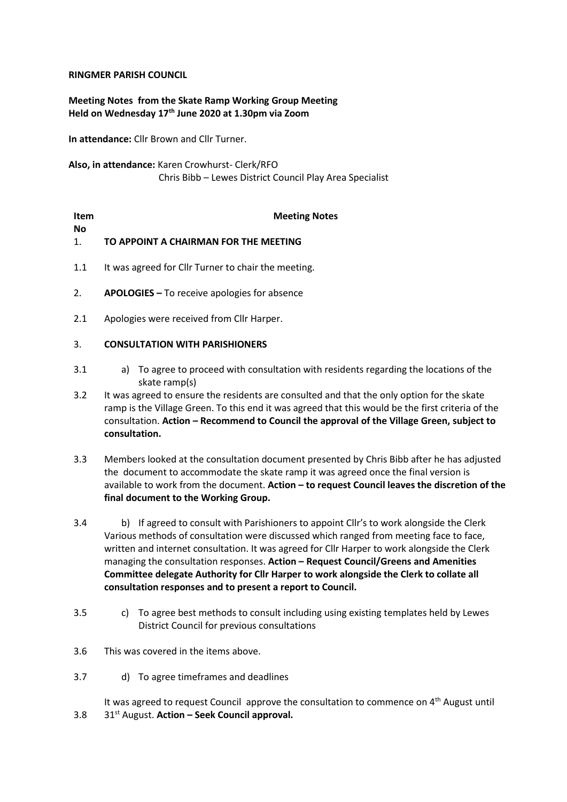## **RINGMER PARISH COUNCIL**

# **Meeting Notes from the Skate Ramp Working Group Meeting Held on Wednesday 17th June 2020 at 1.30pm via Zoom**

**In attendance:** Cllr Brown and Cllr Turner.

**Also, in attendance:** Karen Crowhurst- Clerk/RFO Chris Bibb – Lewes District Council Play Area Specialist

| Item         | <b>Meeting Notes</b>                                |
|--------------|-----------------------------------------------------|
| Nο           |                                                     |
| $\mathbf{1}$ | TO APPOINT A CHAIRMAN FOR THE MEETING               |
|              |                                                     |
| 1.1          | It was agreed for Cllr Turner to chair the meeting. |

- 2. **APOLOGIES –** To receive apologies for absence
- 2.1 Apologies were received from Cllr Harper.

## 3. **CONSULTATION WITH PARISHIONERS**

- 3.1 a) To agree to proceed with consultation with residents regarding the locations of the skate ramp(s)
- 3.2 It was agreed to ensure the residents are consulted and that the only option for the skate ramp is the Village Green. To this end it was agreed that this would be the first criteria of the consultation. **Action – Recommend to Council the approval of the Village Green, subject to consultation.**
- 3.3 Members looked at the consultation document presented by Chris Bibb after he has adjusted the document to accommodate the skate ramp it was agreed once the final version is available to work from the document. **Action – to request Council leaves the discretion of the final document to the Working Group.**
- 3.4 b) If agreed to consult with Parishioners to appoint Cllr's to work alongside the Clerk Various methods of consultation were discussed which ranged from meeting face to face, written and internet consultation. It was agreed for Cllr Harper to work alongside the Clerk managing the consultation responses. **Action – Request Council/Greens and Amenities Committee delegate Authority for Cllr Harper to work alongside the Clerk to collate all consultation responses and to present a report to Council.**
- 3.5 c) To agree best methods to consult including using existing templates held by Lewes District Council for previous consultations
- 3.6 This was covered in the items above.
- 3.7 d) To agree timeframes and deadlines

3.8 It was agreed to request Council approve the consultation to commence on  $4<sup>th</sup>$  August until 31st August. **Action – Seek Council approval.**